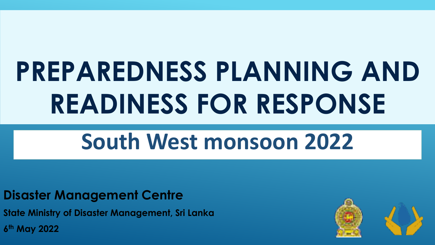# PREPAREDNESS PLANNING AND READINESS FOR RESPONSE

# South West monsoon 2022

#### **Disaster Management Centre**

**State Ministry of Disaster Management, Sri Lanka** 6<sup>th</sup> May 2022

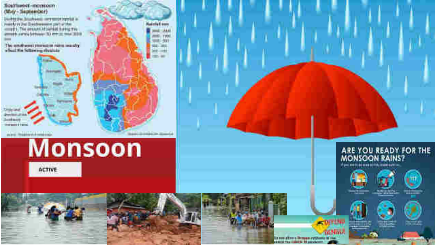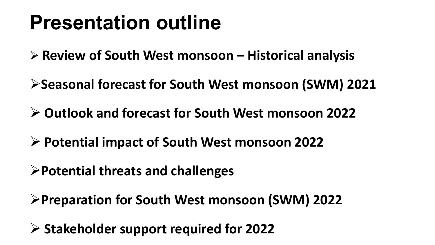# **Presentation outline**

 $\triangleright$  Review of South West monsoon – Historical analysis

≻Seasonal forecast for South West monsoon (SWM) 2021

 $\triangleright$  Outlook and forecast for South West monsoon 2022

▶ Potential impact of South West monsoon 2022

>Potential threats and challenges

≻Preparation for South West monsoon (SWM) 2022

 $\triangleright$  Stakeholder support required for 2022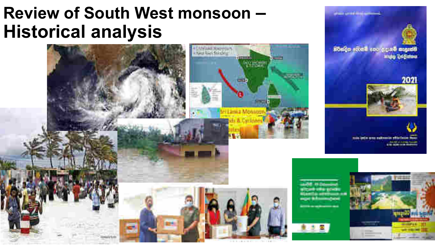# Review of South West monsoon -**Historical analysis**



**Contract Contract Contract**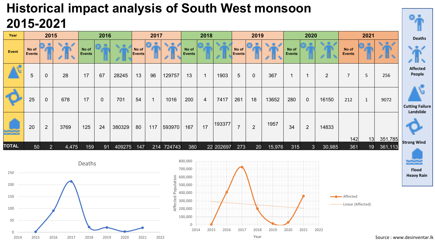### **Historical impact analysis of South West monsoon** 2015-2021

| Year         |                        | 2015           |       |                        | 2016        |        |                 | 2017        |            | 2018                   |                |           |                        | 2019           |        | 2020                     |                |                |                        | 2021                  |                    |                                     | <b>Deaths</b> |
|--------------|------------------------|----------------|-------|------------------------|-------------|--------|-----------------|-------------|------------|------------------------|----------------|-----------|------------------------|----------------|--------|--------------------------|----------------|----------------|------------------------|-----------------------|--------------------|-------------------------------------|---------------|
| Event        | No of<br><b>Events</b> |                |       | No of<br><b>Events</b> |             |        | No of<br>Events |             |            | No of<br><b>Events</b> |                |           | No of<br><b>Events</b> |                | Æ      | No of<br><b>Events</b>   |                |                | No of<br><b>Events</b> |                       |                    |                                     |               |
|              | 5                      | $\overline{0}$ | 28    | 17                     | 67          | 28245  | 13              | 96          | 129757     | 13                     |                | 1903      | 5                      | $\overline{0}$ | 367    | $\overline{\phantom{a}}$ |                | $\overline{2}$ | $\overline{7}$         | 5                     | 256                | <b>Affected</b><br>People           |               |
|              | 25                     | $\mathbf 0$    | 678   | 17                     | $\mathbf 0$ | 701    | 54              | $\mathbf 1$ | 1016       | 200                    | $\overline{4}$ | 7417      | 261                    | 18             | 13652  | 280                      | $\overline{0}$ | 16150          | 212                    | $\mathbf{1}$          | 9072               | <b>Cutting Failure</b><br>Landslide |               |
| تجتجت        | 20                     | $\overline{2}$ | 3769  | 125                    | 24          | 380329 | 80              | 117         | 593970     | 167                    | 17             | 193377    | $\overline{7}$         | $\overline{2}$ | 1957   | 34                       | $\overline{2}$ | 14833          |                        |                       |                    |                                     |               |
| <b>TOTAL</b> | 50                     | $\overline{2}$ | 4,475 | 159                    | 91          | 409275 | 147             |             | 214 724743 | 380                    |                | 22 202697 | 273                    | 20             | 15,976 | 315                      | 3              | 30,985         | 142<br>361             | 13<br>19 <sup>°</sup> | 351,785<br>361,113 | <b>Strong Wind</b>                  |               |





**Flood** 

**Heavy Rain**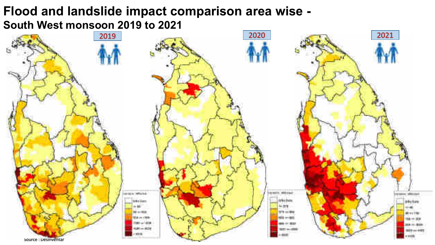#### Flood and landslide impact comparison area wise -South West monsoon 2019 to 2021

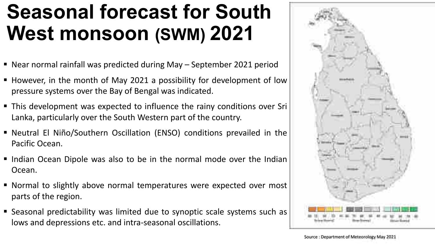# **Seasonal forecast for South West monsoon (SWM) 2021**

- Near normal rainfall was predicted during May September 2021 period
- However, in the month of May 2021 a possibility for development of low pressure systems over the Bay of Bengal was indicated.
- This development was expected to influence the rainy conditions over Sri Lanka, particularly over the South Western part of the country.
- Neutral El Niño/Southern Oscillation (ENSO) conditions prevailed in the Pacific Ocean.
- Indian Ocean Dipole was also to be in the normal mode over the Indian Ocean.
- Normal to slightly above normal temperatures were expected over most parts of the region.
- Seasonal predictability was limited due to synoptic scale systems such as lows and depressions etc. and intra-seasonal oscillations.

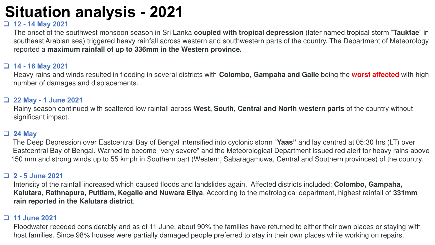## **Situation analysis - 2021**

#### $\Box$  12 - 14 May 2021

The onset of the southwest monsoon season in Sri Lanka coupled with tropical depression (later named tropical storm "Tauktae" in southeast Arabian sea) triggered heavy rainfall across western and southwestern parts of the country. The Department of Meteorology reported a maximum rainfall of up to 336mm in the Western province.

#### $\Box$  14 - 16 May 2021

Heavy rains and winds resulted in flooding in several districts with Colombo, Gampaha and Galle being the worst affected with high number of damages and displacements.

#### 22 May - 1 June 2021

Rainy season continued with scattered low rainfall across West, South, Central and North western parts of the country without significant impact.

#### $\Box$  24 May

The Deep Depression over Eastcentral Bay of Bengal intensified into cyclonic storm "Yaas" and lay centred at 05:30 hrs (LT) over Eastcentral Bay of Bengal. Warned to become "very severe" and the Meteorological Department issued red alert for heavy rains above 150 mm and strong winds up to 55 kmph in Southern part (Western, Sabaragamuwa, Central and Southern provinces) of the country.

#### $\Box$  2 - 5 June 2021

Intensity of the rainfall increased which caused floods and landslides again. Affected districts included; Colombo, Gampaha, Kalutara, Rathnapura, Puttlam, Kegalle and Nuwara Eliya. According to the metrological department, highest rainfall of 331mm rain reported in the Kalutara district.

#### **D** 11 June 2021

Floodwater receded considerably and as of 11 June, about 90% the families have returned to either their own places or staying with host families. Since 98% houses were partially damaged people preferred to stay in their own places while working on repairs.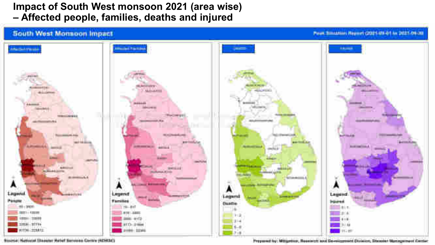#### **Impact of South West monsoon 2021 (area wise)** - Affected people, families, deaths and injured



Stoirse National University Helief Services Contro (NISITAT)

Preparad by Millardini, Research and Sevelopment Division, Staater Management Center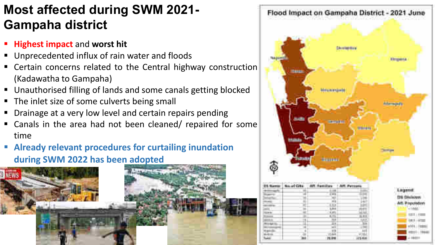### **Most affected during SWM 2021-Gampaha district**

- " Highest impact and worst hit
- Unprecedented influx of rain water and floods
- Certain concerns related to the Central highway construction (Kadawatha to Gampaha)
- Unauthorised filling of lands and some canals getting blocked
- The inlet size of some culverts being small
- Drainage at a very low level and certain repairs pending
- Canals in the area had not been cleaned/ repaired for some time
- **Already relevant procedures for curtailing inundation** during SWM 2022 has been adopted



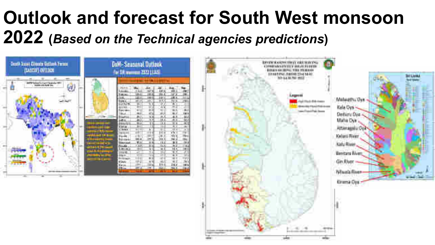# Outlook and forecast for South West monsoon 2022 (Based on the Technical agencies predictions)

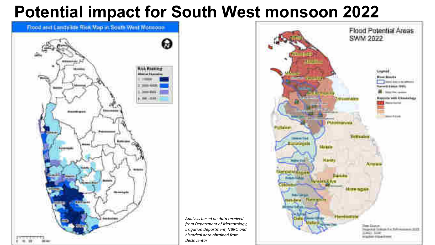## **Potential impact for South West monsoon 2022**

Analysis based on data received from Department of Meteorology, Irrigation Department, NBRO and

historical data obtained from

DesInventar



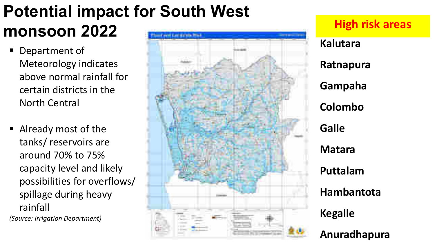#### **Potential impact for South West** monsoon 2022 **Harris Emmanuel Blake**

- Department of **Meteorology indicates** above normal rainfall for certain districts in the **North Central**
- Already most of the tanks/reservoirs are around 70% to 75% capacity level and likely possibilities for overflows/ spillage during heavy rainfall

(Source: Irrigation Department)



### **High risk areas**

**Kalutara** 

Ratnapura

Gampaha

Colombo

**Galle** 

**Matara** 

**Kegalle** 

Puttalam

**Hambantota** 

Anuradhapura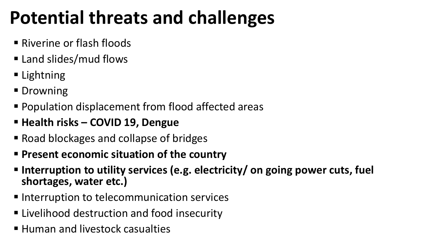# **Potential threats and challenges**

- Riverine or flash floods
- Land slides/mud flows
- Lightning
- Drowning
- Population displacement from flood affected areas
- " Health risks COVID 19, Dengue
- Road blockages and collapse of bridges
- **Present economic situation of the country**
- Interruption to utility services (e.g. electricity/ on going power cuts, fuel shortages, water etc.)
- Interruption to telecommunication services
- Livelihood destruction and food insecurity
- Human and livestock casualties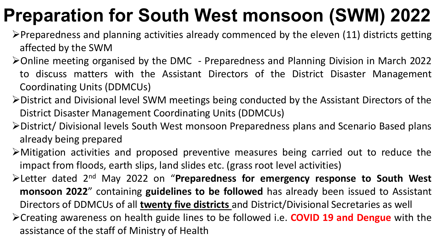# **Preparation for South West monsoon (SWM) 2022**

- $\triangleright$ Preparedness and planning activities already commenced by the eleven (11) districts getting affected by the SWM
- > Online meeting organised by the DMC Preparedness and Planning Division in March 2022 to discuss matters with the Assistant Directors of the District Disaster Management **Coordinating Units (DDMCUs)**
- $\triangleright$  District and Divisional level SWM meetings being conducted by the Assistant Directors of the District Disaster Management Coordinating Units (DDMCUs)
- >District/ Divisional levels South West monsoon Preparedness plans and Scenario Based plans already being prepared
- >Mitigation activities and proposed preventive measures being carried out to reduce the impact from floods, earth slips, land slides etc. (grass root level activities)
- Example 12nd May 2022 on "Preparedness for emergency response to South West monsoon 2022" containing guidelines to be followed has already been issued to Assistant Directors of DDMCUs of all twenty five districts and District/Divisional Secretaries as well
- > Creating awareness on health guide lines to be followed i.e. COVID 19 and Dengue with the assistance of the staff of Ministry of Health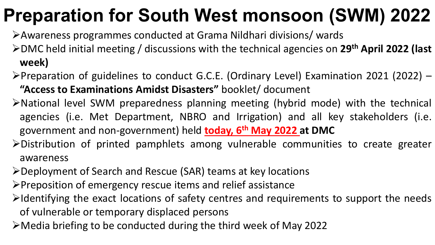# **Preparation for South West monsoon (SWM) 2022**

- >Awareness programmes conducted at Grama Nildhari divisions/ wards
- $\triangleright$  DMC held initial meeting / discussions with the technical agencies on 29<sup>th</sup> April 2022 (last week)
- $\triangleright$ Preparation of guidelines to conduct G.C.E. (Ordinary Level) Examination 2021 (2022) "Access to Examinations Amidst Disasters" booklet/ document
- >National level SWM preparedness planning meeting (hybrid mode) with the technical agencies (i.e. Met Department, NBRO and Irrigation) and all key stakeholders (i.e. government and non-government) held today, 6<sup>th</sup> May 2022 at DMC
- $\triangleright$  Distribution of printed pamphlets among vulnerable communities to create greater awareness
- ≻Deployment of Search and Rescue (SAR) teams at key locations
- ≻Preposition of emergency rescue items and relief assistance
- $\triangleright$ Identifying the exact locations of safety centres and requirements to support the needs of vulnerable or temporary displaced persons
- $\triangleright$  Media briefing to be conducted during the third week of May 2022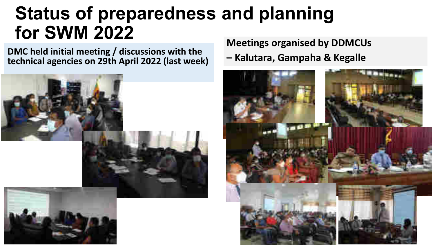# **Status of preparedness and planning for SWM 2022**

DMC held initial meeting / discussions with the technical agencies on 29th April 2022 (last week)



**Meetings organised by DDMCUs** 

- Kalutara, Gampaha & Kegalle

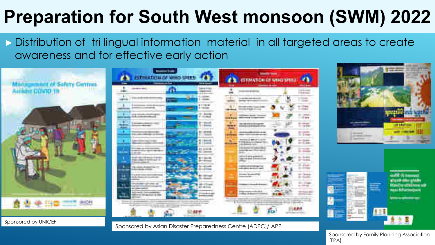# **Preparation for South West monsoon (SWM) 2022**

Distribution of trilingual information material in all targeted areas to create awareness and for effective early action



**PSTERRTHERS STORED CERMATION CF WIND SPIRIT COMM** E Emma

Sponsored by Asian Disaster Preparedness Centre (ADPC)/ APP



---

**ESS** 

-- $1.5 - m$ **H-Sake**  $-5.44$ 

--

ar teas



Sponsored by Family Planning Association  $(FPA)$ 

Sponsored by UNICEF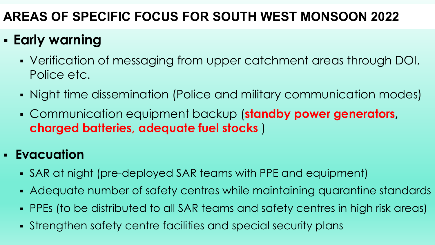### AREAS OF SPECIFIC FOCUS FOR SOUTH WEST MONSOON 2022

## - Early warning

- Verification of messaging from upper catchment areas through DOI, Police etc.
- Night time dissemination (Police and military communication modes)
- Communication equipment backup (standby power generators, charged batteries, adequate fuel stocks )

#### **- Evacuation**

- SAR at night (pre-deployed SAR teams with PPE and equipment)
- Adequate number of safety centres while maintaining quarantine standards
- PPEs (to be distributed to all SAR teams and safety centres in high risk areas)
- Strengthen safety centre facilities and special security plans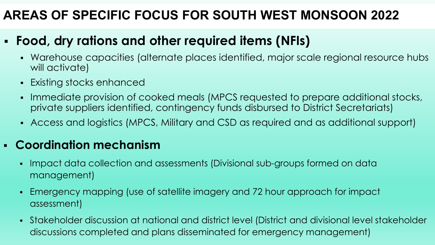### AREAS OF SPECIFIC FOCUS FOR SOUTH WEST MONSOON 2022

### • Food, dry rations and other required items (NFIs)

- Warehouse capacities (alternate places identified, major scale regional resource hubs will activate)
- Existing stocks enhanced
- Immediate provision of cooked meals (MPCS requested to prepare additional stocks,  $\blacksquare$ private suppliers identified, contingency funds disbursed to District Secretariats)
- Access and logistics (MPCS, Military and CSD as required and as additional support)

#### - Coordination mechanism

- Impact data collection and assessments (Divisional sub-groups formed on data management)
- Emergency mapping (use of satellite imagery and 72 hour approach for impact  $\blacksquare$ assessment)
- Stakeholder discussion at national and district level (District and divisional level stakeholder discussions completed and plans disseminated for emergency management)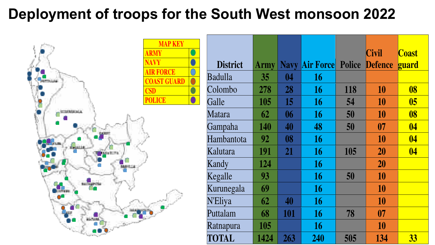## Deployment of troops for the South West monsoon 2022



|                 |             |             |                         |     | <b>Civil</b>   | <b>Coast</b>             |
|-----------------|-------------|-------------|-------------------------|-----|----------------|--------------------------|
| <b>District</b> | <b>Army</b> | <b>Navy</b> | <b>Air Force Police</b> |     | <b>Defence</b> | <b><u>guard</u></b>      |
| Badulla         | 35          | 04          | 16                      |     |                |                          |
| Colombo         | 278         | 28          | 16                      | 118 | 10             | 08                       |
| Galle           | 105         | 15          | 16                      | 54  | 10             | 05                       |
| Matara          | 62          | 06          | 16                      | 50  | 10             | 08                       |
| Gampaha         | 140         | 40          | 48                      | 50  | 07             | $\overline{\mathbf{04}}$ |
| Hambantota      | 92          | 08          | 16                      |     | 10             | $\overline{04}$          |
| Kalutara        | 191         | 21          | 16                      | 105 | 20             | $\overline{\mathbf{04}}$ |
| Kandy           | 124         |             | 16                      |     | 20             |                          |
| Kegalle         | 93          |             | 16                      | 50  | 10             |                          |
| Kurunegala      | 69          |             | 16                      |     | 10             |                          |
| <b>N'Eliya</b>  | 62          | 40          | 16                      |     | 10             |                          |
| Puttalam        | 68          | 101         | 16                      | 78  | 07             |                          |
| Ratnapura       | 105         |             | 16                      |     | 10             |                          |
| <b>TOTAL</b>    | 1424        | 263         | 240                     | 505 | 134            | 33                       |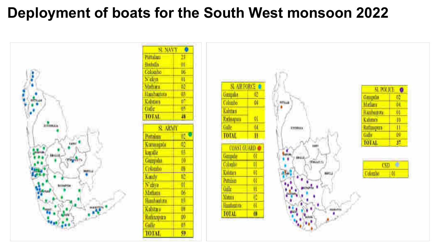## Deployment of boats for the South West monsoon 2022

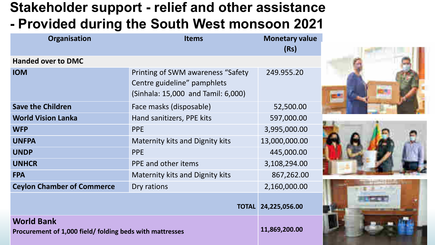### Stakeholder support - relief and other assistance - Provided during the South West monsoon 2021

| Organisation                                                                  | <b>Items</b>                                                                                            | <b>Monetary value</b><br>(Rs) |
|-------------------------------------------------------------------------------|---------------------------------------------------------------------------------------------------------|-------------------------------|
| <b>Handed over to DMC</b>                                                     |                                                                                                         |                               |
| <b>IOM</b>                                                                    | Printing of SWM awareness "Safety"<br>Centre guideline" pamphlets<br>(Sinhala: 15,000 and Tamil: 6,000) | 249.955.20                    |
| <b>Save the Children</b>                                                      | Face masks (disposable)                                                                                 | 52,500.00                     |
| <b>World Vision Lanka</b>                                                     | Hand sanitizers, PPE kits                                                                               | 597,000.00                    |
| <b>WFP</b>                                                                    | <b>PPE</b>                                                                                              | 3,995,000.00                  |
| <b>UNFPA</b>                                                                  | <b>Maternity kits and Dignity kits</b>                                                                  | 13,000,000.00                 |
| <b>UNDP</b>                                                                   | <b>PPE</b>                                                                                              | 445,000.00                    |
| <b>UNHCR</b>                                                                  | PPE and other items                                                                                     | 3,108,294.00                  |
| <b>FPA</b>                                                                    | <b>Maternity kits and Dignity kits</b>                                                                  | 867,262.00                    |
| <b>Ceylon Chamber of Commerce</b>                                             | Dry rations                                                                                             | 2,160,000.00                  |
|                                                                               |                                                                                                         | TOTAL 24,225,056.00           |
| <b>World Bank</b><br>Procurement of 1,000 field/ folding beds with mattresses | 11,869,200.00                                                                                           |                               |





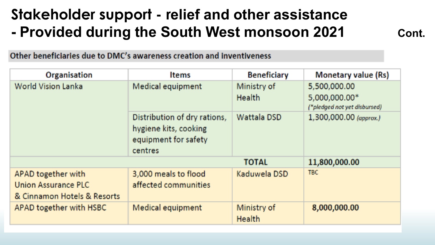## Stakeholder support - relief and other assistance - Provided during the South West monsoon 2021

Cont.

Other beneficiaries due to DMC's awareness creation and inventiveness

| Organisation                                                                    | <b>Items</b>                                                                             | <b>Beneficiary</b>           | <b>Monetary value (Rs)</b>                                    |  |  |  |  |
|---------------------------------------------------------------------------------|------------------------------------------------------------------------------------------|------------------------------|---------------------------------------------------------------|--|--|--|--|
| <b>World Vision Lanka</b>                                                       | Medical equipment                                                                        | Ministry of<br><b>Health</b> | 5,500,000.00<br>5,000,000.00*<br>("pledged not yet disbursed) |  |  |  |  |
|                                                                                 | Distribution of dry rations,<br>hygiene kits, cooking<br>equipment for safety<br>centres | Wattala DSD                  | 1,300,000.00 (approx.)                                        |  |  |  |  |
|                                                                                 |                                                                                          | <b>TOTAL</b>                 | 11,800,000.00                                                 |  |  |  |  |
| APAD together with<br><b>Union Assurance PLC</b><br>& Cinnamon Hotels & Resorts | 3,000 meals to flood<br>affected communities                                             | Kaduwela DSD                 | TBC.                                                          |  |  |  |  |
| APAD together with HSBC                                                         | Medical equipment                                                                        | Ministry of<br><b>Health</b> | 8,000,000.00                                                  |  |  |  |  |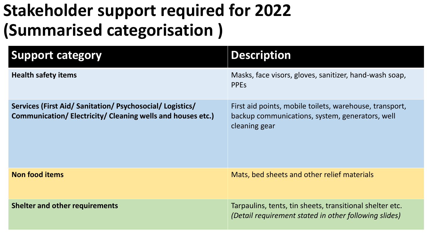# **Stakeholder support required for 2022** (Summarised categorisation)

| <b>Support category</b>                                                                                                | <b>Description</b>                                                                                                          |
|------------------------------------------------------------------------------------------------------------------------|-----------------------------------------------------------------------------------------------------------------------------|
| <b>Health safety items</b>                                                                                             | Masks, face visors, gloves, sanitizer, hand-wash soap,<br><b>PPES</b>                                                       |
| Services (First Aid/ Sanitation/ Psychosocial/ Logistics/<br>Communication/Electricity/Cleaning wells and houses etc.) | First aid points, mobile toilets, warehouse, transport,<br>backup communications, system, generators, well<br>cleaning gear |
| <b>Non food items</b>                                                                                                  | Mats, bed sheets and other relief materials                                                                                 |
| <b>Shelter and other requirements</b>                                                                                  | Tarpaulins, tents, tin sheets, transitional shelter etc.<br>(Detail requirement stated in other following slides)           |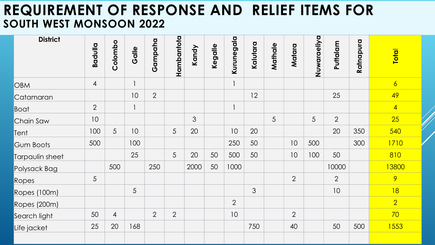#### REQUIREMENT OF RESPONSE AND RELIEF ITEMS FOR SOUTH WEST MONSOON 2022

| <b>District</b>  |                |                 |              |                |                |       |         |                |          |         |                |             |                |           |                |
|------------------|----------------|-----------------|--------------|----------------|----------------|-------|---------|----------------|----------|---------|----------------|-------------|----------------|-----------|----------------|
|                  | Badulla        | Colombo         | Galle        | Gampaha        | Hambantota     | Kandy | Kegalle | Kurunegala     | Kalutara | Mathale | Matara         | Nuwaraeliya | Puttalam       | Ratnapura | <b>Total</b>   |
| OBM              | $\overline{4}$ |                 |              |                |                |       |         |                |          |         |                |             |                |           | $\overline{6}$ |
| Catamaran        |                |                 | 10           | 2              |                |       |         |                | 12       |         |                |             | 25             |           | 49             |
| <b>Boat</b>      | $\overline{2}$ |                 | $\mathbf{1}$ |                |                |       |         | $\mathbf{1}$   |          |         |                |             |                |           | $\overline{4}$ |
| Chain Saw        | 10             |                 |              |                |                | 3     |         |                |          | 5       |                | 5           | 2              |           | 25             |
| Tent             | 100            | $5\overline{)}$ | 10           |                | 5              | 20    |         | 10             | 20       |         |                |             | 20             | 350       | 540            |
| <b>Gum Boots</b> | 500            |                 | 100          |                |                |       |         | 250            | 50       |         | 10             | 500         |                | 300       | 1710           |
| Tarpaulin sheet  |                |                 | 25           |                | 5              | 20    | 50      | 500            | 50       |         | 10             | 100         | 50             |           | 810            |
| Polysack Bag     |                | 500             |              | 250            |                | 2000  | 50      | 1000           |          |         |                |             | 10000          |           | 13800          |
| Ropes            | 5              |                 |              |                |                |       |         |                |          |         | $\overline{2}$ |             | $\overline{2}$ |           | 9              |
| Ropes (100m)     |                |                 | 5            |                |                |       |         |                | 3        |         |                |             | 10             |           | 18             |
| Ropes (200m)     |                |                 |              |                |                |       |         | $\overline{2}$ |          |         |                |             |                |           | $\overline{2}$ |
| Search light     | 50             | $\overline{4}$  |              | $\overline{2}$ | $\overline{2}$ |       |         | 10             |          |         | $\overline{2}$ |             |                |           | 70             |
| Life jacket      | 25             | 20              | 168          |                |                |       |         |                | 750      |         | 40             |             | 50             | 500       | 1553           |
|                  |                |                 |              |                |                |       |         |                |          |         |                |             |                |           |                |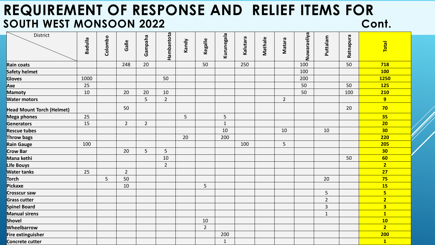#### REQUIREMENT OF RESPONSE AND RELIEF ITEMS FOR SOUTH WEST MONSOON 2022 Cont.

| District                         | <b>Badulla</b> | Colombo | Galle          | Gampaha        | Hambantota     | Kandy | Kegalle        | Kurunegala     | Kalutara | Mathale | Matara      | Nuwaraeliya | Puttalam       | Ratnapura | Total                   |
|----------------------------------|----------------|---------|----------------|----------------|----------------|-------|----------------|----------------|----------|---------|-------------|-------------|----------------|-----------|-------------------------|
| Rain coats                       |                |         | 248            | 20             |                |       | 50             |                | 250      |         |             | 100         |                | 50        | 718                     |
| Safety helmet                    |                |         |                |                |                |       |                |                |          |         |             | 100         |                |           | <b>100</b>              |
| Gloves                           | 1000           |         |                |                | 50             |       |                |                |          |         |             | 200         |                |           | <b>1250</b>             |
| Axe                              | 25             |         |                |                |                |       |                |                |          |         |             | 50          |                | 50        | <b>125</b>              |
| Mamoty                           | 10             |         | 20             | 20             | 10             |       |                |                |          |         |             | 50          |                | 100       | 210                     |
| <b>Water motors</b>              |                |         |                | 5              | $\overline{2}$ |       |                |                |          |         | $2^{\circ}$ |             |                |           | 9                       |
| <b>Head Mount Torch (Helmet)</b> |                |         | 50             |                |                |       |                |                |          |         |             |             |                | 20        | 70                      |
| Mega phones                      | 25             |         |                |                |                | 5     |                | 5              |          |         |             |             |                |           | 35                      |
| Generators                       | 15             |         | $\overline{2}$ | $\overline{2}$ |                |       |                | $\overline{1}$ |          |         |             |             |                |           | 20                      |
| <b>Rescue tubes</b>              |                |         |                |                |                |       |                | 10             |          |         | 10          |             | 10             |           | 30                      |
| Throw bags                       |                |         |                |                |                | 20    |                | 200            |          |         |             |             |                |           | <b>220</b>              |
| Rain Gauge                       | 100            |         |                |                |                |       |                |                | 100      |         | 5           |             |                |           | 205                     |
| Crow Bar                         |                |         | 20             | 5              | 5              |       |                |                |          |         |             |             |                |           | 30                      |
| Mana kethi                       |                |         |                |                | 10             |       |                |                |          |         |             |             |                | 50        | 60                      |
| Life Bouys                       |                |         |                |                | $\overline{2}$ |       |                |                |          |         |             |             |                |           | $\overline{2}$          |
| <b>Water tanks</b>               | 25             |         | $\overline{2}$ |                |                |       |                |                |          |         |             |             |                |           | 27                      |
| Torch                            |                | 5       | 50             |                |                |       |                |                |          |         |             |             | 20             |           | 75                      |
| Pickaxe                          |                |         | 10             |                |                |       | 5              |                |          |         |             |             |                |           | <b>15</b>               |
| <b>Crosscur saw</b>              |                |         |                |                |                |       |                |                |          |         |             |             | 5              |           | $5\phantom{a}$          |
| <b>Grass cutter</b>              |                |         |                |                |                |       |                |                |          |         |             |             | $\overline{2}$ |           | $\overline{2}$          |
| Spinel Board                     |                |         |                |                |                |       |                |                |          |         |             |             | $\overline{3}$ |           | $\overline{\mathbf{3}}$ |
| Manual sirens                    |                |         |                |                |                |       |                |                |          |         |             |             | $\mathbf{1}$   |           | $\overline{\mathbf{1}}$ |
| Shovel                           |                |         |                |                |                |       | 10             |                |          |         |             |             |                |           | 10                      |
| Wheelbarrow                      |                |         |                |                |                |       | $\overline{2}$ |                |          |         |             |             |                |           | $\overline{2}$          |
| Fire extinguisher                |                |         |                |                |                |       |                | 200            |          |         |             |             |                |           | <b>200</b>              |
| Concrete cutter                  |                |         |                |                |                |       |                | $\mathbf{1}$   |          |         |             |             |                |           | $\overline{\mathbf{1}}$ |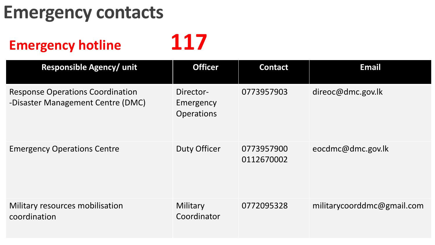# **Emergency contacts**

## **Emergency hotline**

117

| <b>Responsible Agency/ unit</b>                                              | <b>Officer</b>                       | <b>Contact</b>           | <b>Email</b>               |
|------------------------------------------------------------------------------|--------------------------------------|--------------------------|----------------------------|
| <b>Response Operations Coordination</b><br>-Disaster Management Centre (DMC) | Director-<br>Emergency<br>Operations | 0773957903               | direoc@dmc.gov.lk          |
| <b>Emergency Operations Centre</b>                                           | <b>Duty Officer</b>                  | 0773957900<br>0112670002 | eocdmc@dmc.gov.lk          |
| Military resources mobilisation<br>coordination                              | Military<br>Coordinator              | 0772095328               | militarycoorddmc@gmail.com |